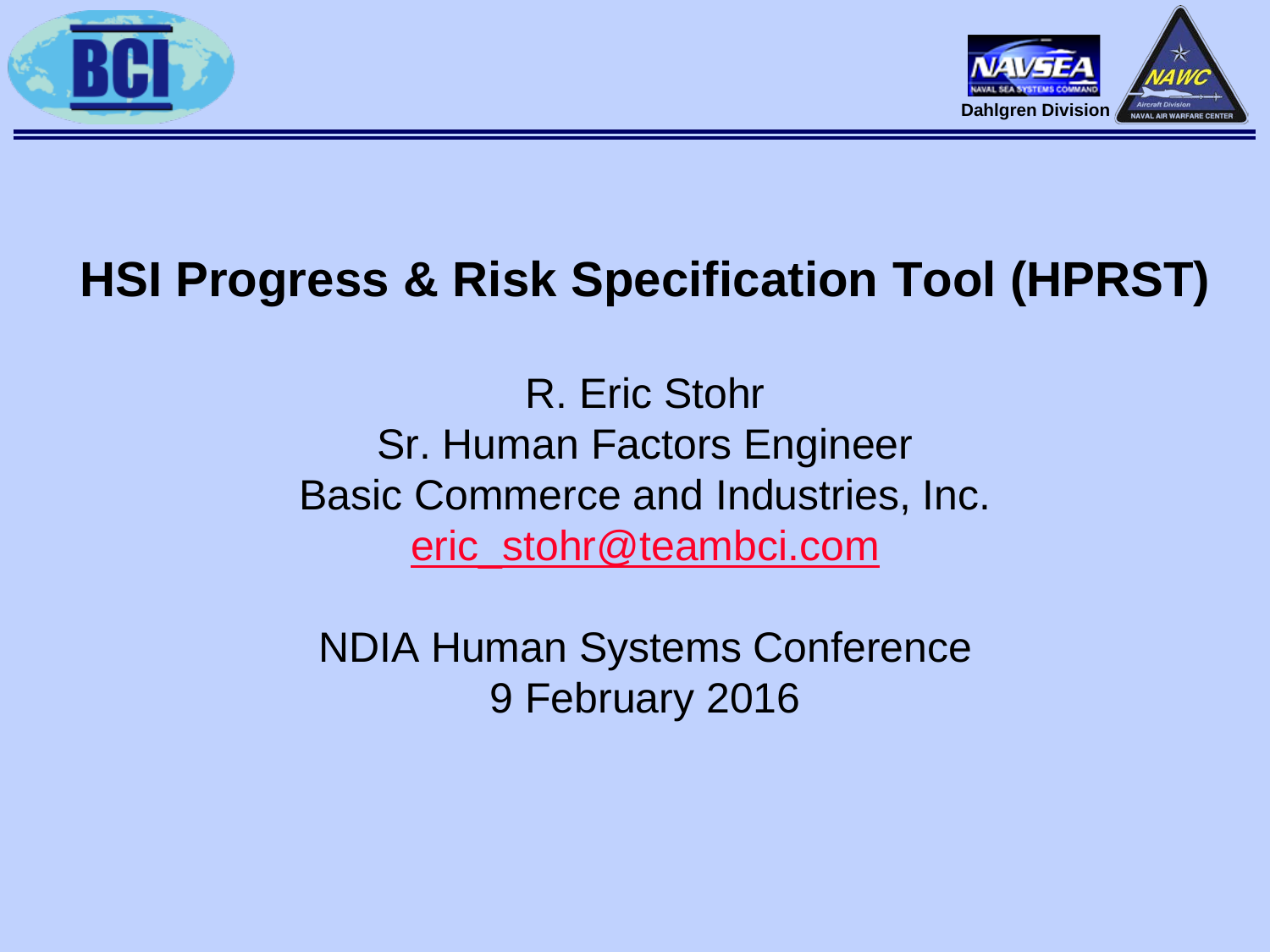



# **HSI Progress & Risk Specification Tool (HPRST)**

R. Eric Stohr Sr. Human Factors Engineer Basic Commerce and Industries, Inc. [eric\\_stohr@teambci.com](mailto:eric_stohr@teambci.com)

NDIA Human Systems Conference 9 February 2016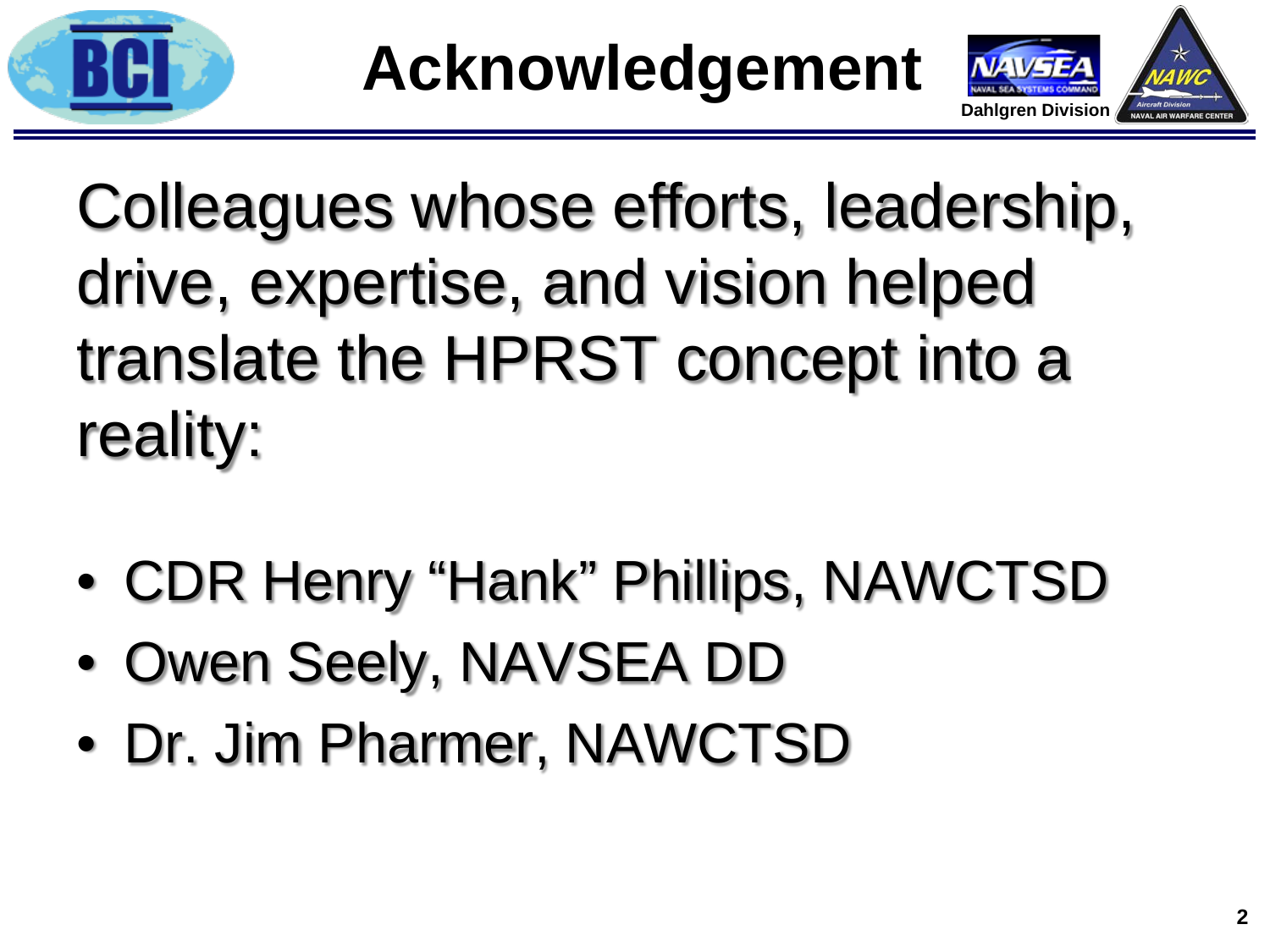



Colleagues whose efforts, leadership, drive, expertise, and vision helped translate the HPRST concept into a reality:

- CDR Henry "Hank" Phillips, NAWCTSD
- Owen Seely, NAVSEA DD
- Dr. Jim Pharmer, NAWCTSD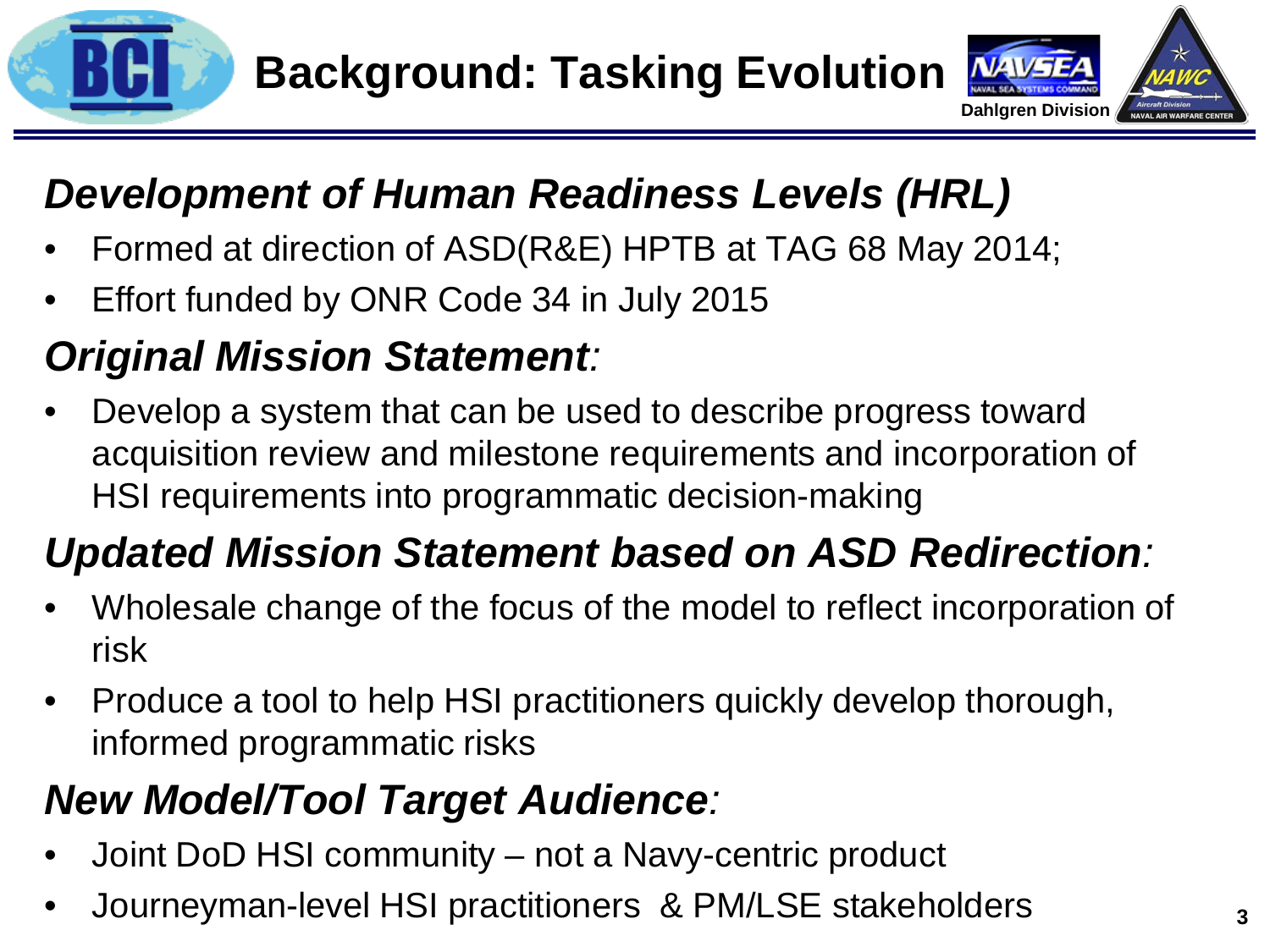



### *Development of Human Readiness Levels (HRL)*

- Formed at direction of ASD(R&E) HPTB at TAG 68 May 2014;
- Effort funded by ONR Code 34 in July 2015

### *Original Mission Statement:*

• Develop a system that can be used to describe progress toward acquisition review and milestone requirements and incorporation of HSI requirements into programmatic decision-making

### *Updated Mission Statement based on ASD Redirection:*

- Wholesale change of the focus of the model to reflect incorporation of risk
- Produce a tool to help HSI practitioners quickly develop thorough, informed programmatic risks

### *New Model/Tool Target Audience:*

- Joint DoD HSI community not a Navy-centric product
- Journeyman-level HSI practitioners & PM/LSE stakeholders **<sup>3</sup>**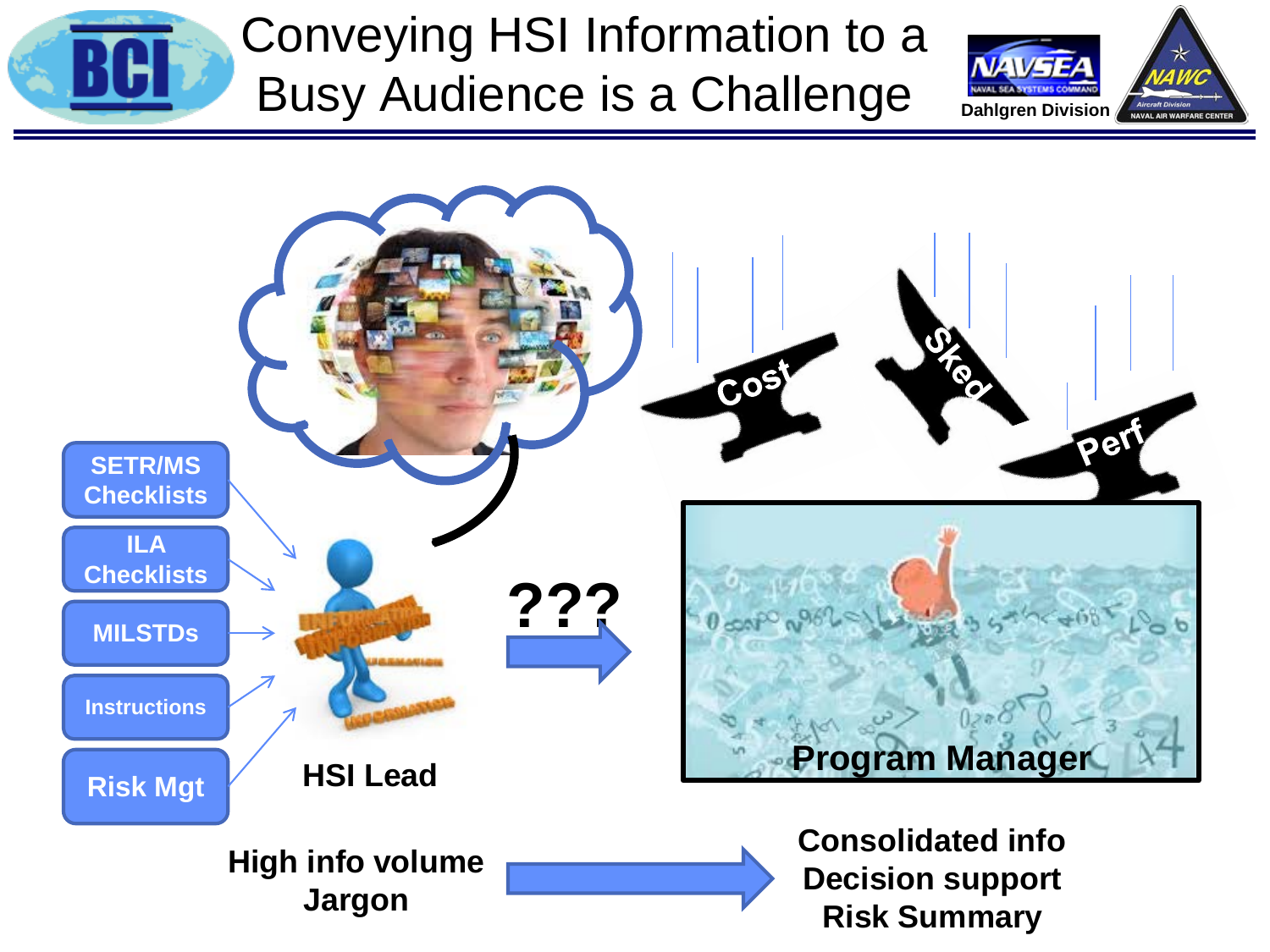

# Conveying HSI Information to a Busy Audience is a Challenge



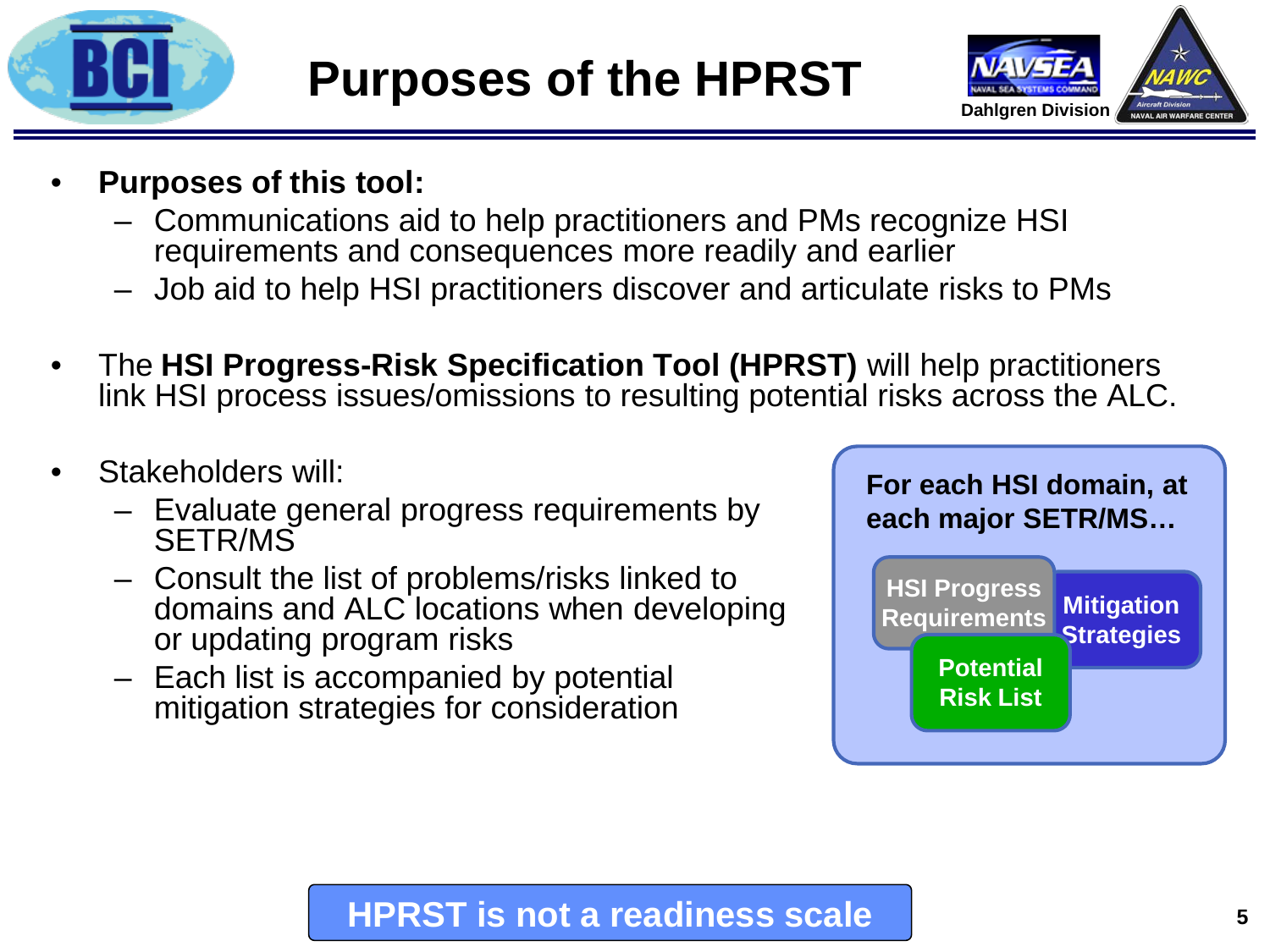



- **Purposes of this tool:**
	- Communications aid to help practitioners and PMs recognize HSI requirements and consequences more readily and earlier
	- Job aid to help HSI practitioners discover and articulate risks to PMs
- The **HSI Progress-Risk Specification Tool (HPRST)** will help practitioners link HSI process issues/omissions to resulting potential risks across the ALC.
- Stakeholders will:
	- Evaluate general progress requirements by SETR/MS
	- Consult the list of problems/risks linked to domains and ALC locations when developing or updating program risks
	- Each list is accompanied by potential mitigation strategies for consideration



### **HPRST is not a readiness scale**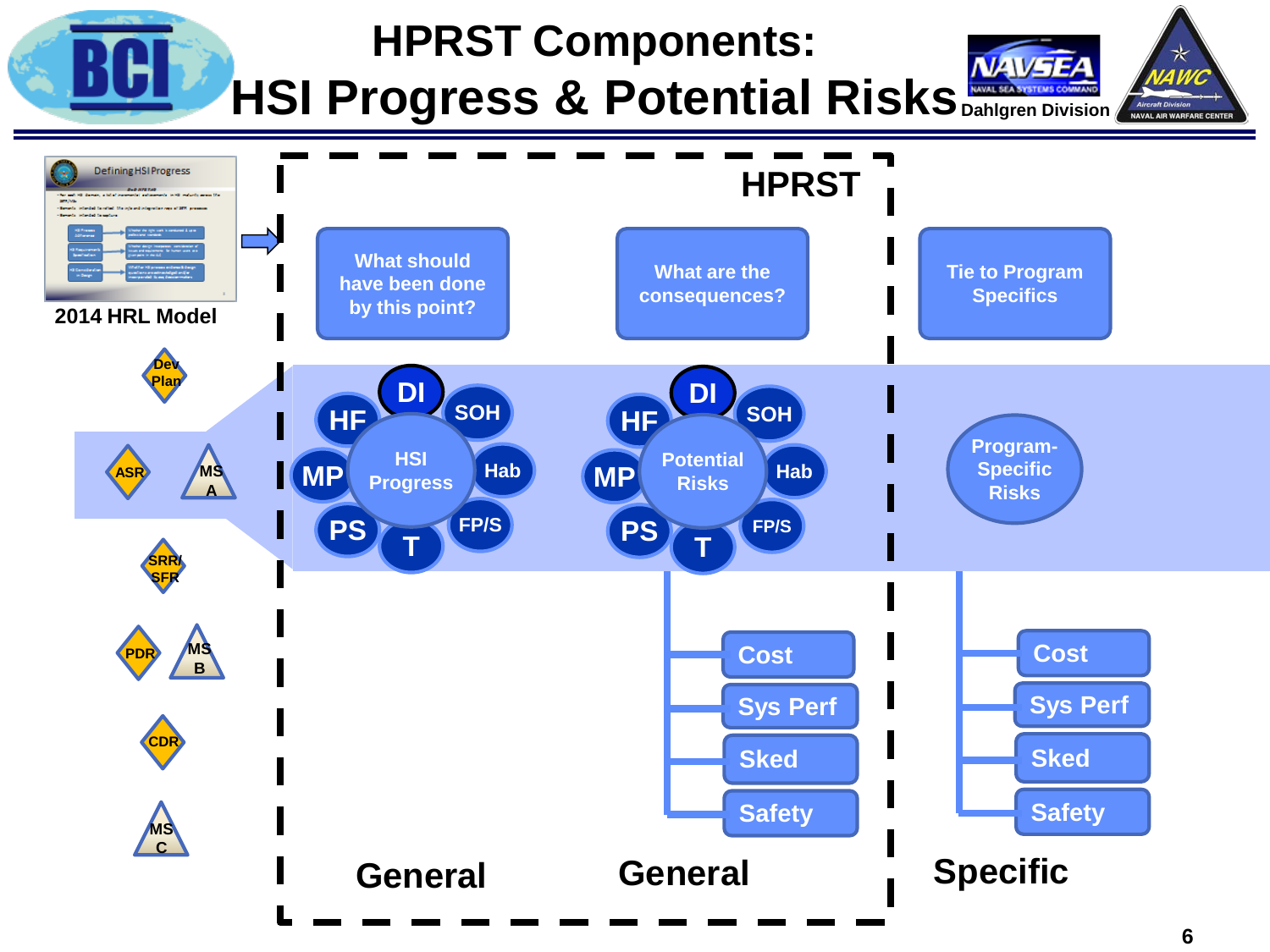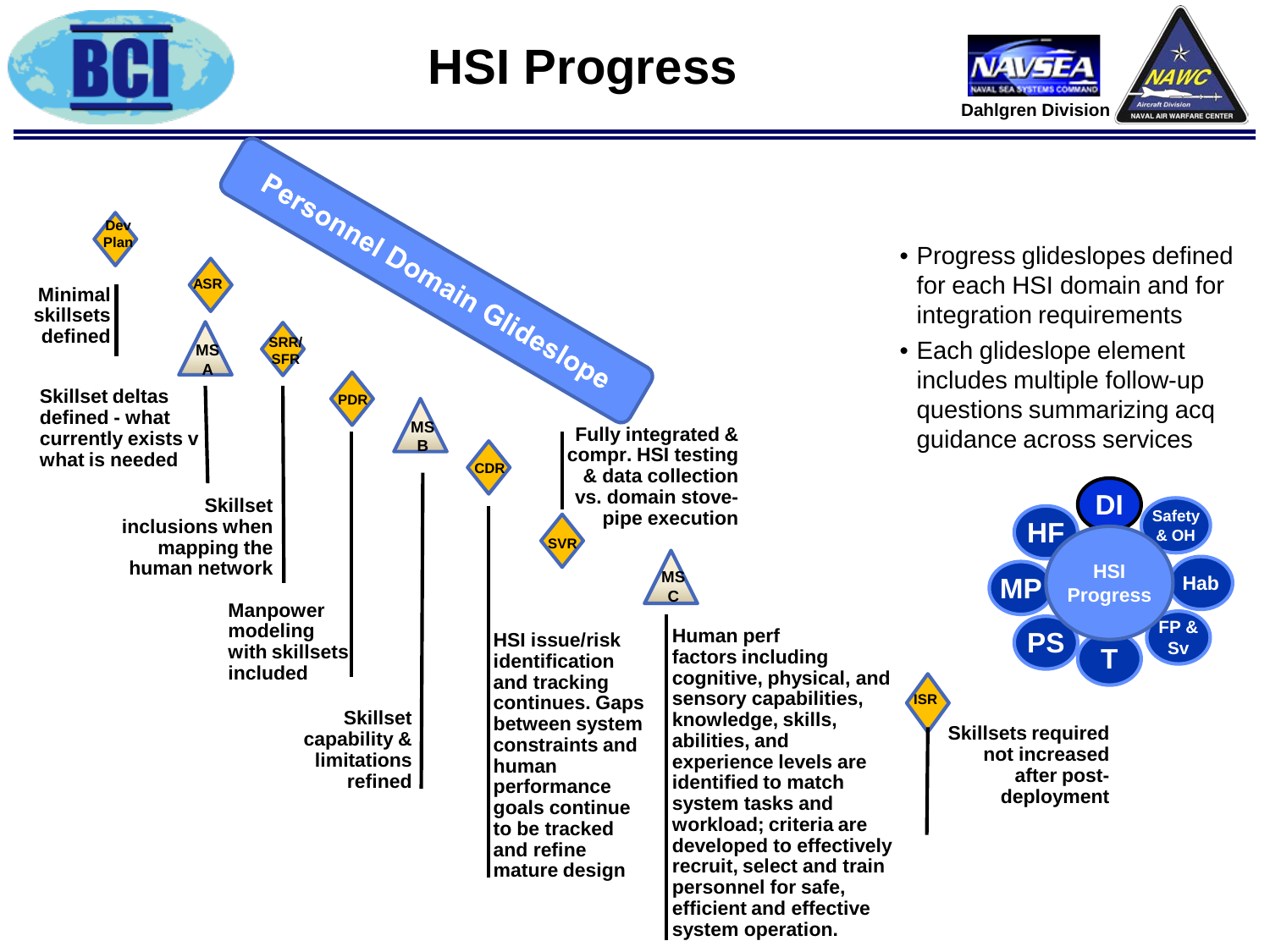

# **HSI Progress**





- Progress glideslopes defined for each HSI domain and for integration requirements
- Each glideslope element includes multiple follow-up questions summarizing acq guidance across services



**Skillsets required not increased after postdeployment**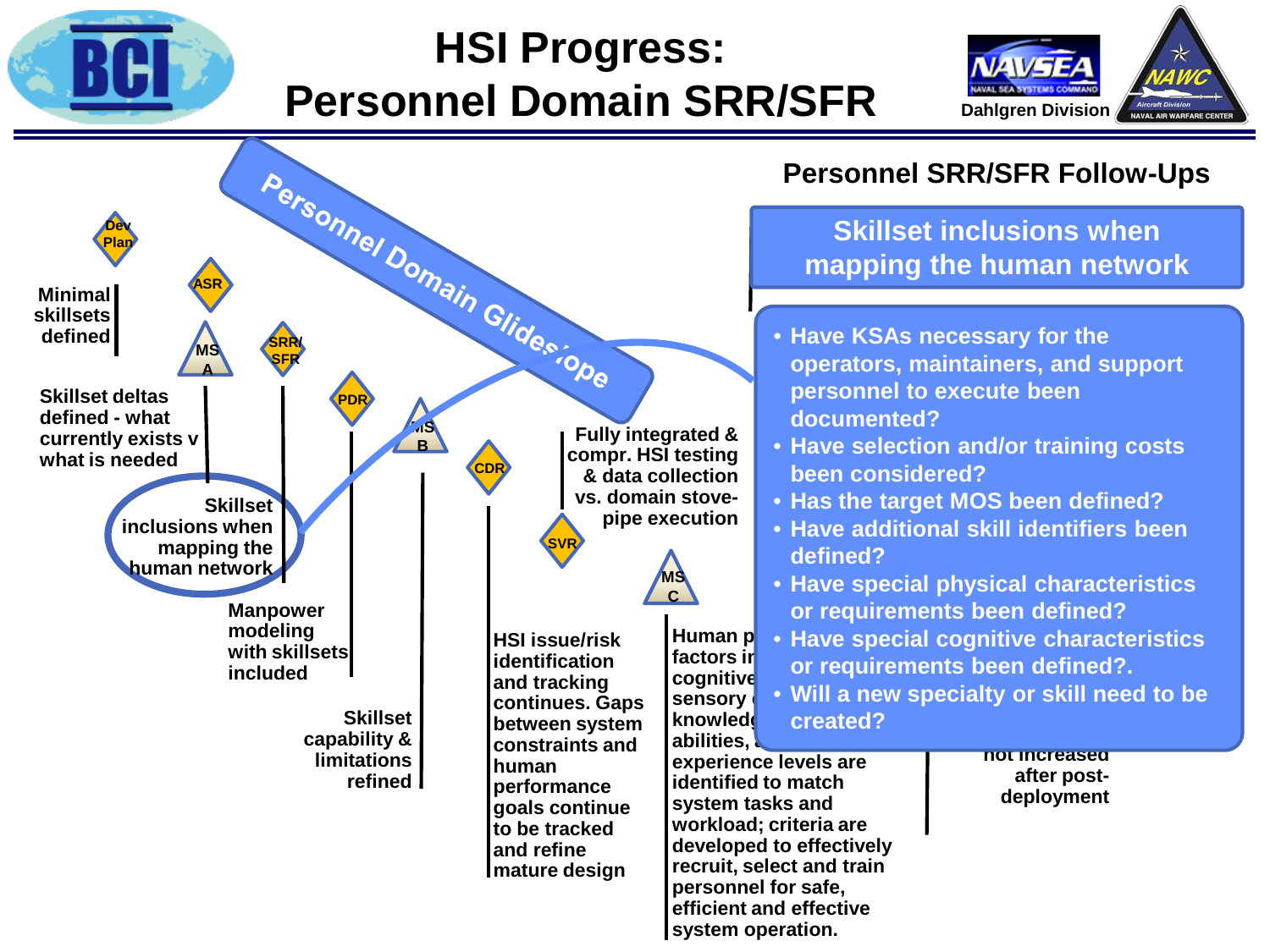

### **HSI Progress: Personnel Domain SRR/SFR**



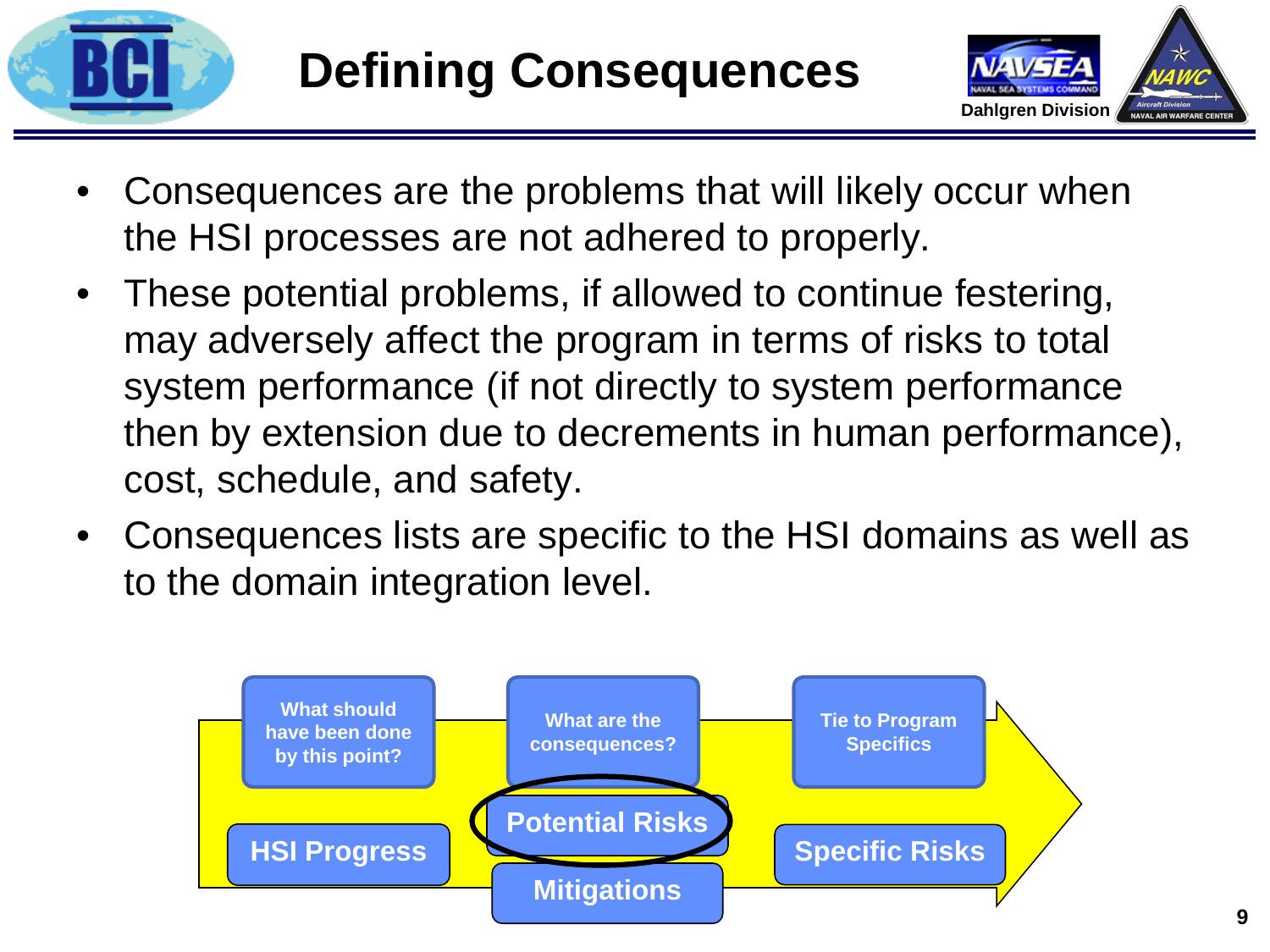



- Consequences are the problems that will likely occur when the HSI processes are not adhered to properly.
- These potential problems, if allowed to continue festering, may adversely affect the program in terms of risks to total system performance (if not directly to system performance then by extension due to decrements in human performance), cost, schedule, and safety.
- Consequences lists are specific to the HSI domains as well as to the domain integration level.

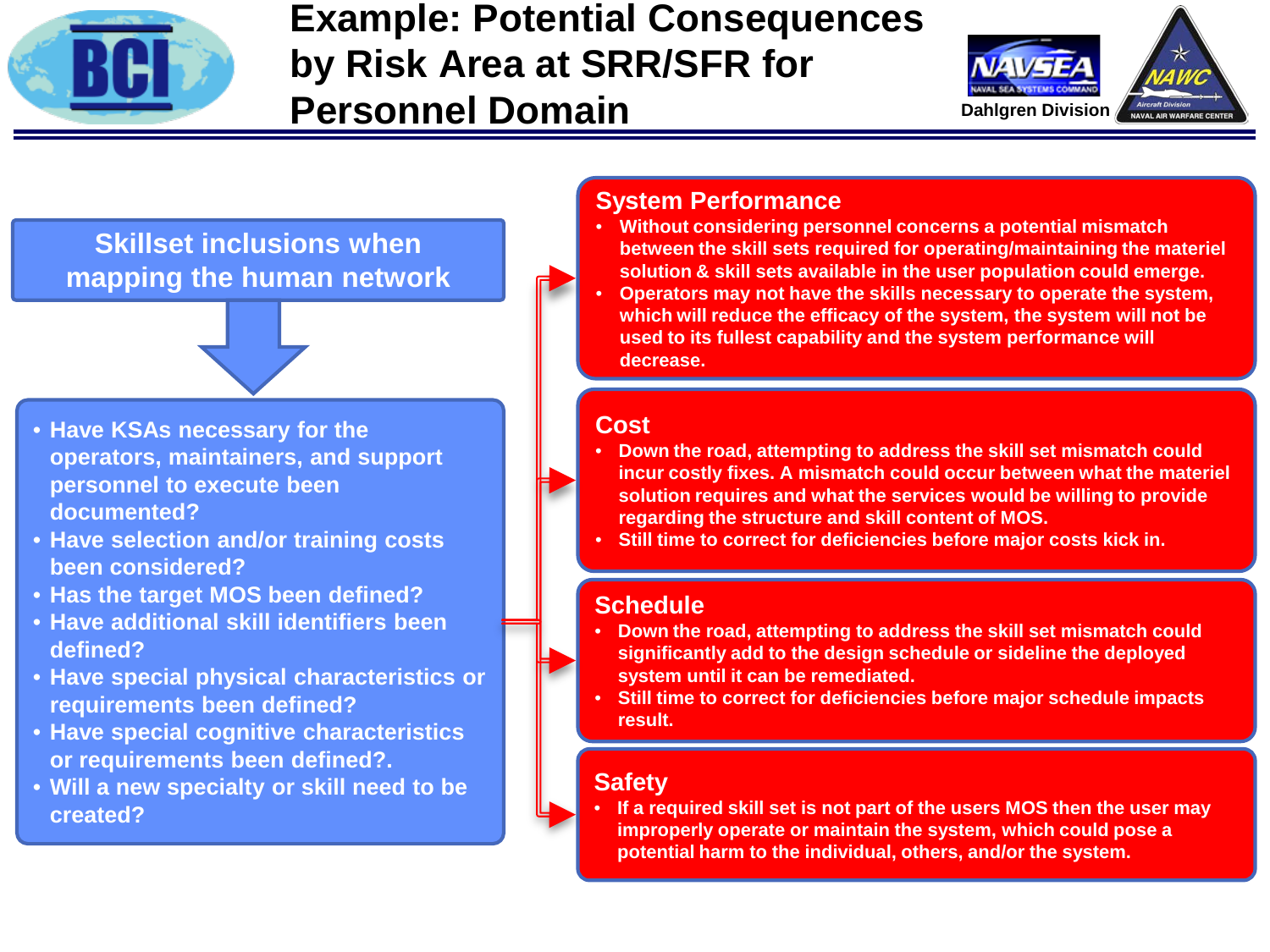

### **Example: Potential Consequences by Risk Area at SRR/SFR for Personnel Domain**



**Skillset inclusions when mapping the human network**

- **Have KSAs necessary for the operators, maintainers, and support personnel to execute been documented?**
- **Have selection and/or training costs been considered?**
- **Has the target MOS been defined?**
- **Have additional skill identifiers been defined?**
- **Have special physical characteristics or requirements been defined?**
- **Have special cognitive characteristics or requirements been defined?.**
- **Will a new specialty or skill need to be created?**

#### **System Performance**

- **Without considering personnel concerns a potential mismatch between the skill sets required for operating/maintaining the materiel solution & skill sets available in the user population could emerge.**
- **Operators may not have the skills necessary to operate the system, which will reduce the efficacy of the system, the system will not be used to its fullest capability and the system performance will decrease.**

#### **Cost**

- **Down the road, attempting to address the skill set mismatch could incur costly fixes. A mismatch could occur between what the materiel solution requires and what the services would be willing to provide regarding the structure and skill content of MOS.**
- **Still time to correct for deficiencies before major costs kick in.**

#### **Schedule**

- **Down the road, attempting to address the skill set mismatch could significantly add to the design schedule or sideline the deployed system until it can be remediated.**
- **Still time to correct for deficiencies before major schedule impacts result.**

#### **Safety**

• **If a required skill set is not part of the users MOS then the user may improperly operate or maintain the system, which could pose a potential harm to the individual, others, and/or the system.**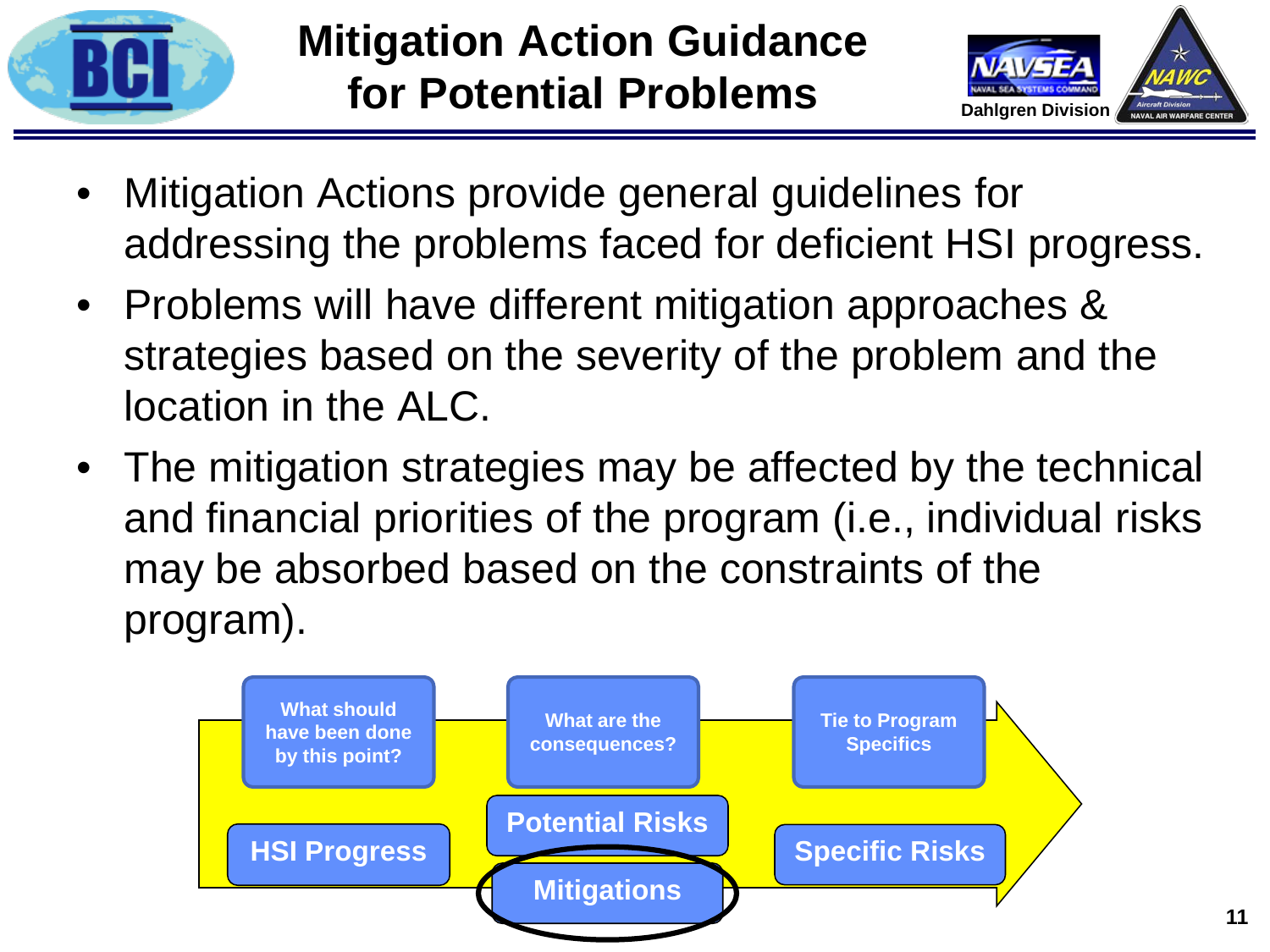



- Mitigation Actions provide general guidelines for addressing the problems faced for deficient HSI progress.
- Problems will have different mitigation approaches & strategies based on the severity of the problem and the location in the ALC.
- The mitigation strategies may be affected by the technical and financial priorities of the program (i.e., individual risks may be absorbed based on the constraints of the program).

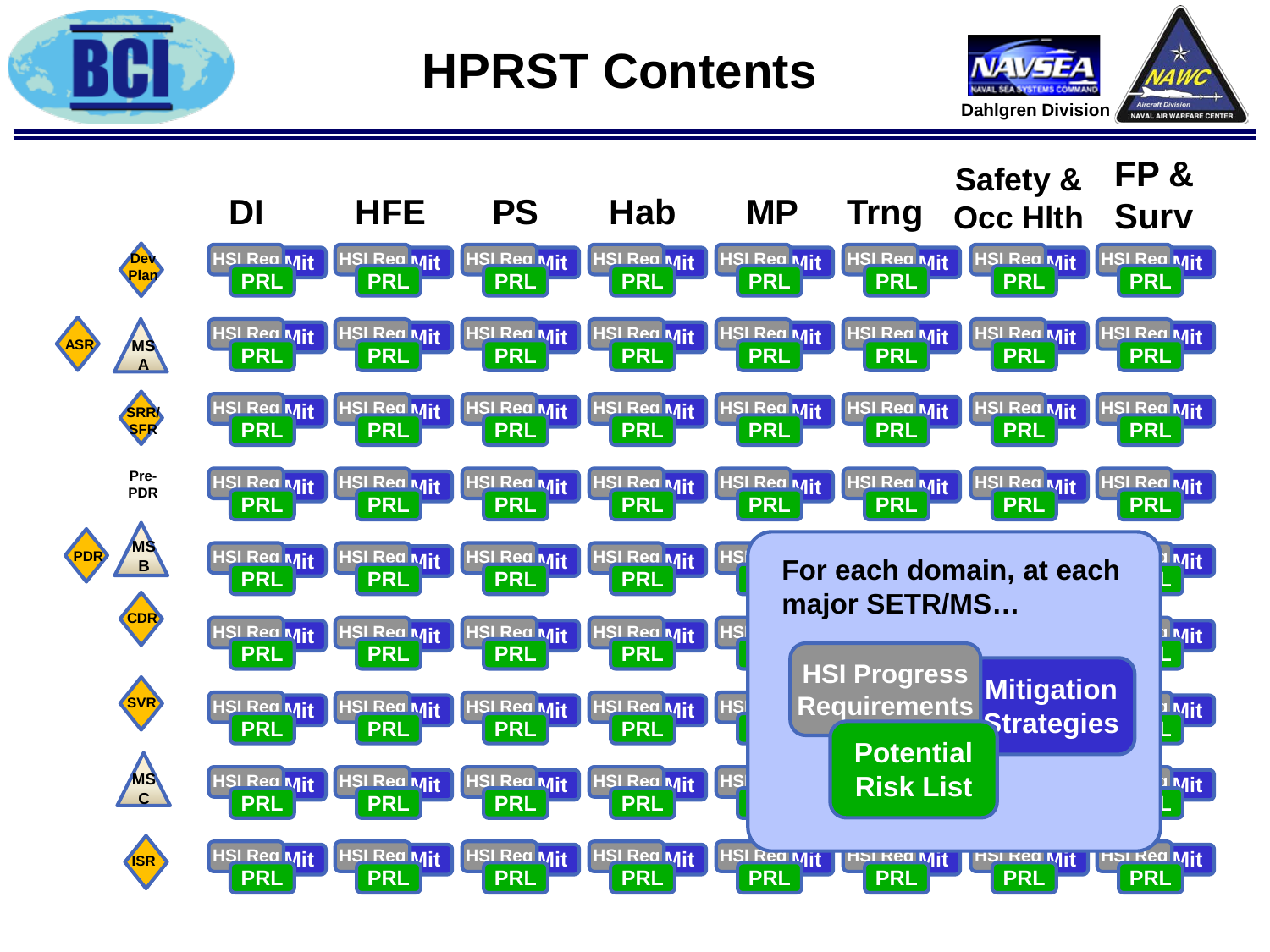

**HPRST Contents**



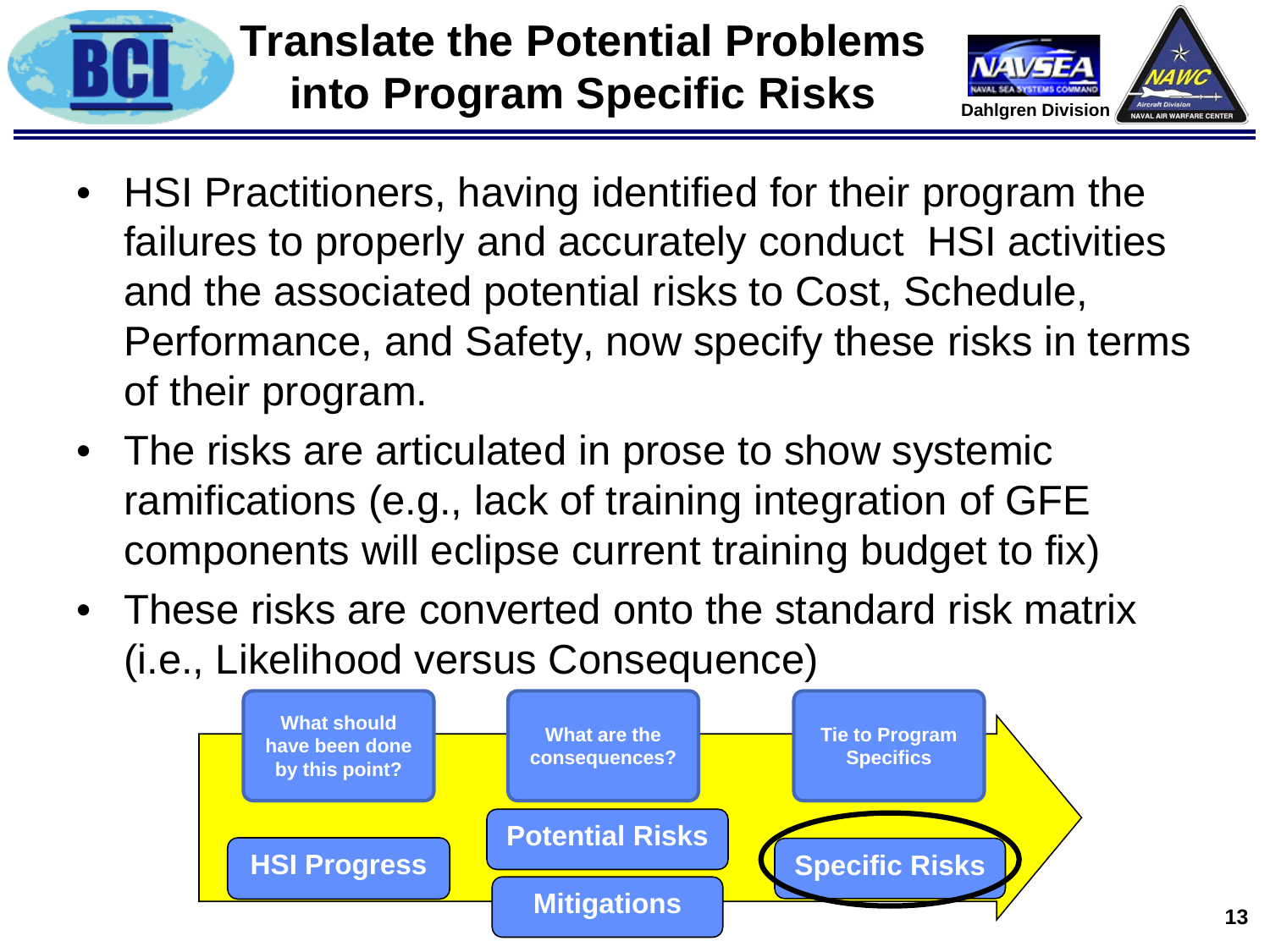



- HSI Practitioners, having identified for their program the failures to properly and accurately conduct HSI activities and the associated potential risks to Cost, Schedule, Performance, and Safety, now specify these risks in terms of their program.
- The risks are articulated in prose to show systemic ramifications (e.g., lack of training integration of GFE components will eclipse current training budget to fix)
- These risks are converted onto the standard risk matrix (i.e., Likelihood versus Consequence)

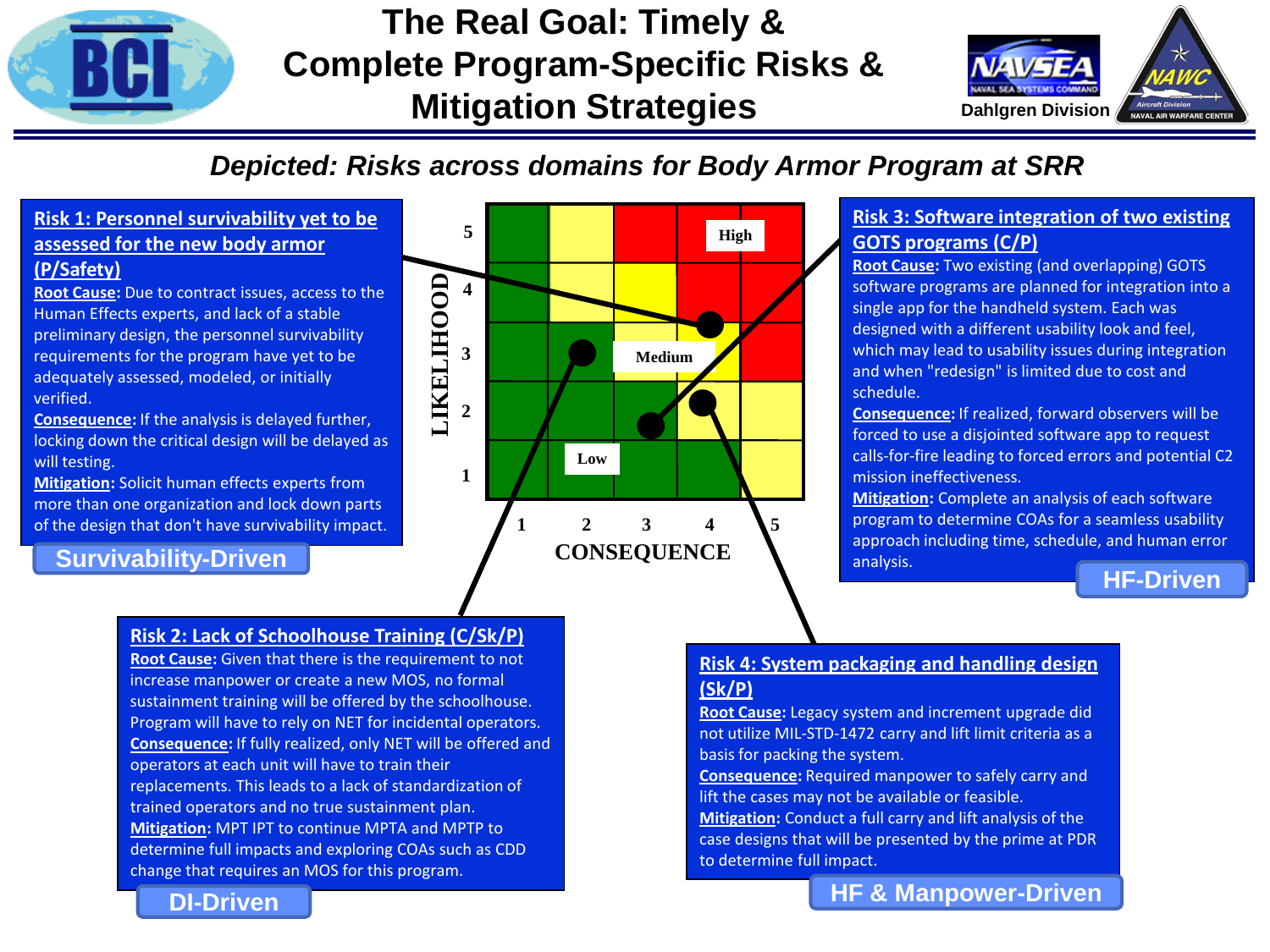

### **The Real Goal: Timely & Complete Program-Specific Risks & Mitigation Strategies**



### *Depicted: Risks across domains for Body Armor Program at SRR*

#### **Risk 1: Personnel survivability yet to be assessed for the new body armor (P/Safety)**

**Root Cause:** Due to contract issues, access to the Human Effects experts, and lack of a stable preliminary design, the personnel survivability requirements for the program have yet to be adequately assessed, modeled, or initially verified.

**Consequence:** If the analysis is delayed further, locking down the critical design will be delayed as will testing.

**Mitigation:** Solicit human effects experts from more than one organization and lock down parts of the design that don't have survivability impact.

**DI-Driven**

#### **Survivability-Driven**



**Root Cause:** Given that there is the requirement to not increase manpower or create a new MOS, no formal sustainment training will be offered by the schoolhouse. Program will have to rely on NET for incidental operators. **Consequence:** If fully realized, only NET will be offered and operators at each unit will have to train their replacements. This leads to a lack of standardization of trained operators and no true sustainment plan. **Mitigation:** MPT IPT to continue MPTA and MPTP to determine full impacts and exploring COAs such as CDD change that requires an MOS for this program.



#### **Risk 3: Software integration of two existing GOTS programs (C/P)**

**Root Cause:** Two existing (and overlapping) GOTS software programs are planned for integration into a single app for the handheld system. Each was designed with a different usability look and feel, which may lead to usability issues during integration and when "redesign" is limited due to cost and schedule.

**Consequence:** If realized, forward observers will be forced to use a disjointed software app to request calls-for-fire leading to forced errors and potential C2 mission ineffectiveness.

**Mitigation:** Complete an analysis of each software program to determine COAs for a seamless usability approach including time, schedule, and human error analysis.

#### **HF-Driven**

#### **Risk 4: System packaging and handling design (Sk/P)**

**Root Cause:** Legacy system and increment upgrade did not utilize MIL-STD-1472 carry and lift limit criteria as a basis for packing the system.

**Consequence:** Required manpower to safely carry and lift the cases may not be available or feasible.

**Mitigation:** Conduct a full carry and lift analysis of the case designs that will be presented by the prime at PDR to determine full impact.

#### **HF & Manpower-Driven**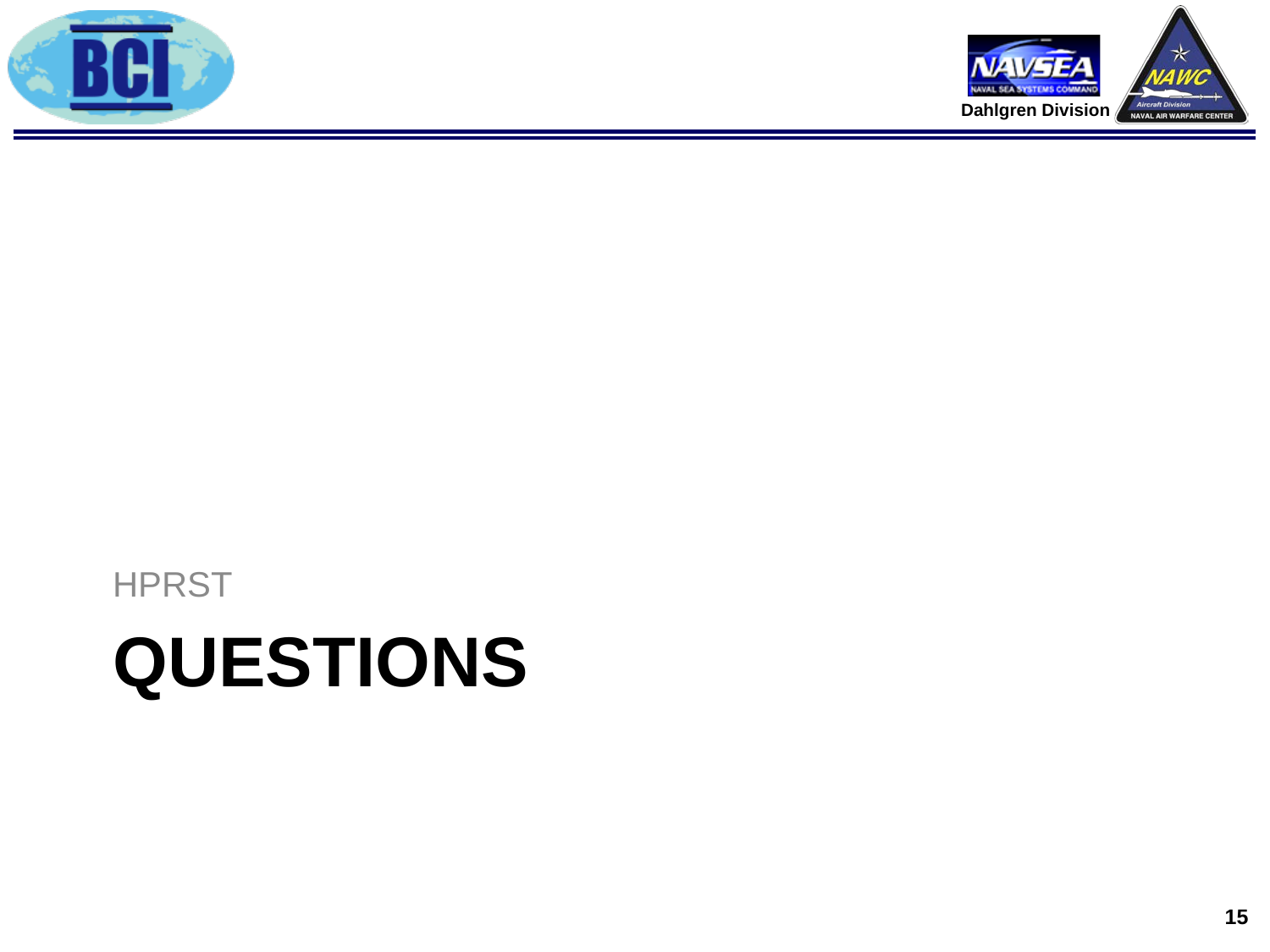# **QUESTIONS**

**HPRST** 



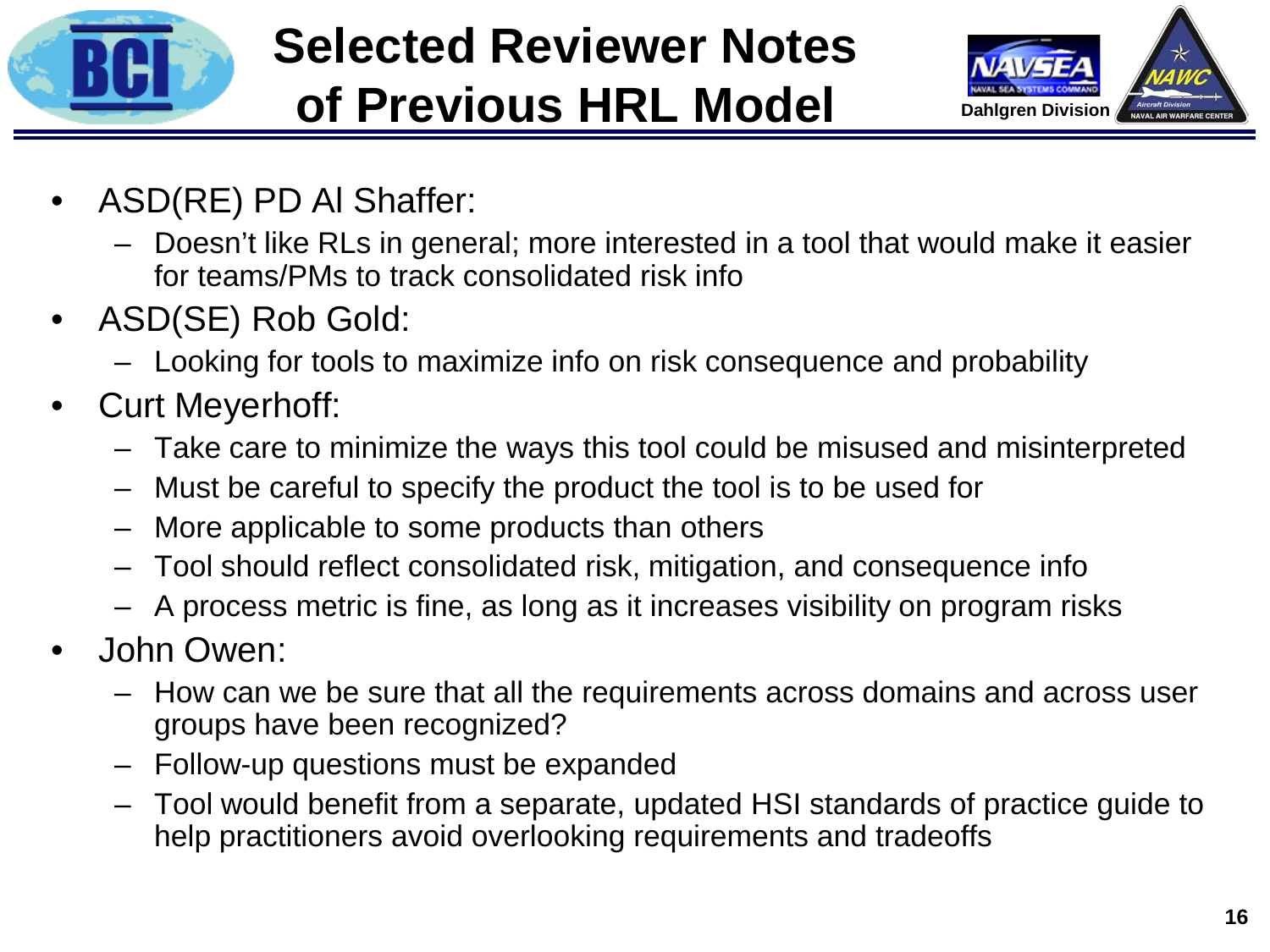

# **Selected Reviewer Notes of Previous HRL Model**



- ASD(RE) PD Al Shaffer:
	- Doesn't like RLs in general; more interested in a tool that would make it easier for teams/PMs to track consolidated risk info
- ASD(SE) Rob Gold:
	- Looking for tools to maximize info on risk consequence and probability
- Curt Meyerhoff:
	- Take care to minimize the ways this tool could be misused and misinterpreted
	- Must be careful to specify the product the tool is to be used for
	- More applicable to some products than others
	- Tool should reflect consolidated risk, mitigation, and consequence info
	- A process metric is fine, as long as it increases visibility on program risks
- John Owen:
	- How can we be sure that all the requirements across domains and across user groups have been recognized?
	- Follow-up questions must be expanded
	- Tool would benefit from a separate, updated HSI standards of practice guide to help practitioners avoid overlooking requirements and tradeoffs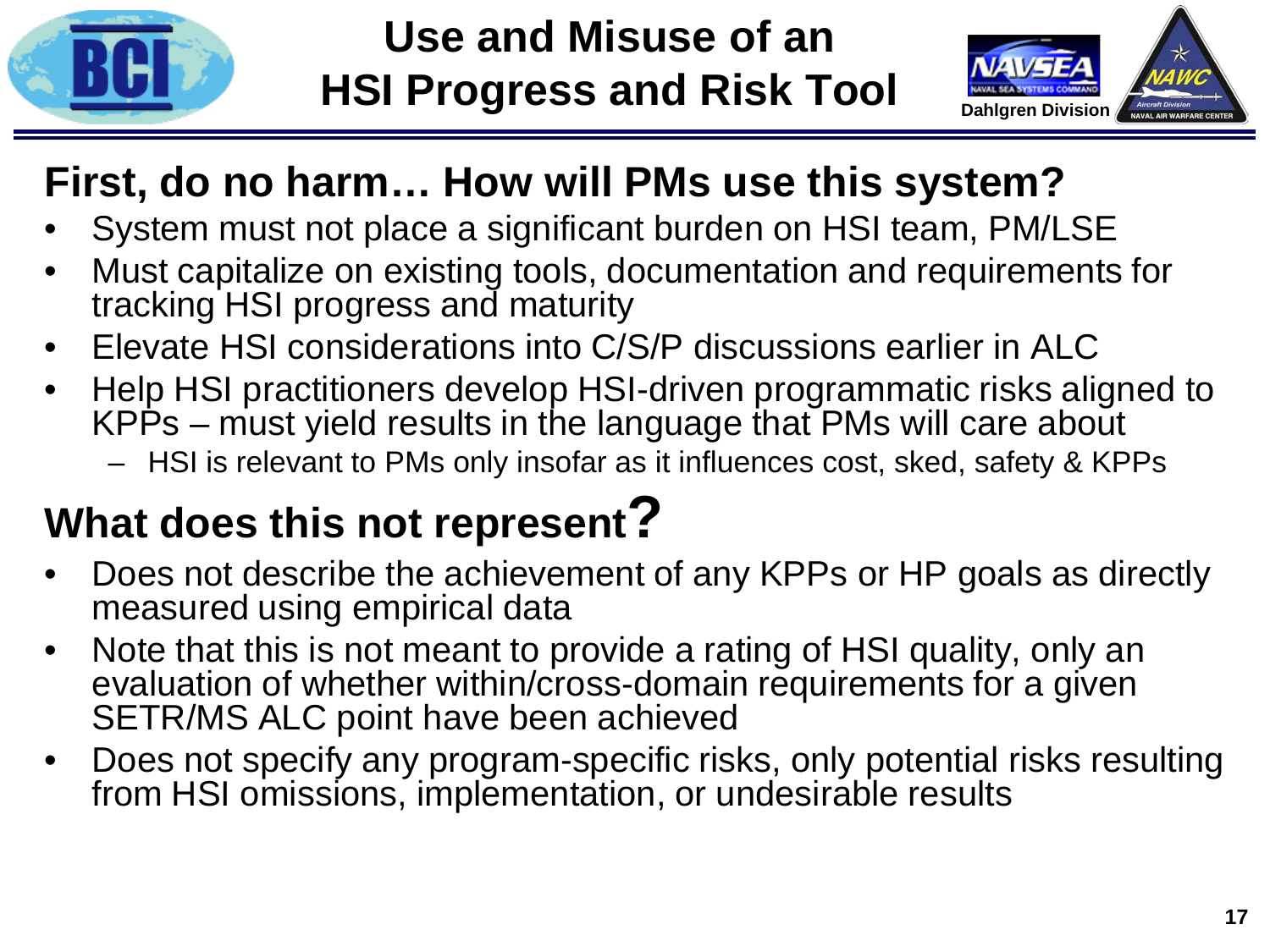

### **Use and Misuse of an HSI Progress and Risk Tool**



### **First, do no harm… How will PMs use this system?**

- System must not place a significant burden on HSI team, PM/LSE
- Must capitalize on existing tools, documentation and requirements for tracking HSI progress and maturity
- Elevate HSI considerations into C/S/P discussions earlier in ALC
- Help HSI practitioners develop HSI-driven programmatic risks aligned to KPPs – must yield results in the language that PMs will care about
	- HSI is relevant to PMs only insofar as it influences cost, sked, safety & KPPs

# **What does this not represent?**

- Does not describe the achievement of any KPPs or HP goals as directly measured using empirical data
- Note that this is not meant to provide a rating of HSI quality, only an evaluation of whether within/cross-domain requirements for a given SETR/MS ALC point have been achieved
- Does not specify any program-specific risks, only potential risks resulting from HSI omissions, implementation, or undesirable results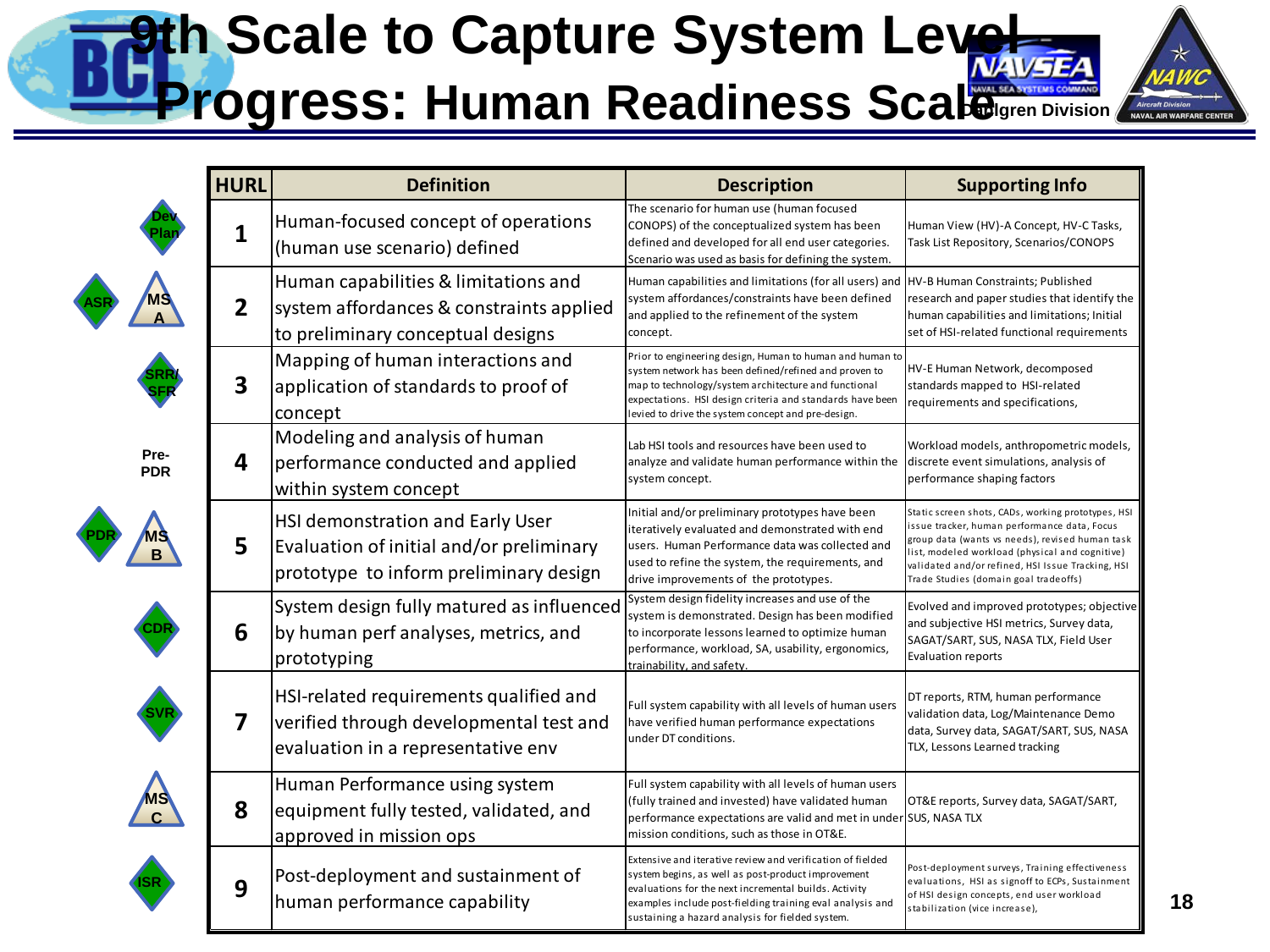### **9th Scale to Capture System Level Progress: Human Readiness Scale Aircraft Division<br>NAVAL AIR WARFARE**

|                    | <b>HURL</b>             | <b>Definition</b>                                                                                                       | <b>Description</b>                                                                                                                                                                                                                                                                          | <b>Supporting Info</b>                                                                                                                                                                                                                                                                                 |
|--------------------|-------------------------|-------------------------------------------------------------------------------------------------------------------------|---------------------------------------------------------------------------------------------------------------------------------------------------------------------------------------------------------------------------------------------------------------------------------------------|--------------------------------------------------------------------------------------------------------------------------------------------------------------------------------------------------------------------------------------------------------------------------------------------------------|
|                    | 1                       | Human-focused concept of operations<br>(human use scenario) defined                                                     | The scenario for human use (human focused<br>CONOPS) of the conceptualized system has been<br>defined and developed for all end user categories.<br>Scenario was used as basis for defining the system.                                                                                     | Human View (HV)-A Concept, HV-C Tasks,<br>Task List Repository, Scenarios/CONOPS                                                                                                                                                                                                                       |
|                    | $\overline{2}$          | Human capabilities & limitations and<br>system affordances & constraints applied<br>to preliminary conceptual designs   | Human capabilities and limitations (for all users) and<br>system affordances/constraints have been defined<br>and applied to the refinement of the system<br>concept.                                                                                                                       | HV-B Human Constraints; Published<br>research and paper studies that identify the<br>human capabilities and limitations; Initial<br>set of HSI-related functional requirements                                                                                                                         |
|                    | $\overline{\mathbf{3}}$ | Mapping of human interactions and<br>application of standards to proof of<br>concept                                    | Prior to engineering design, Human to human and human to<br>system network has been defined/refined and proven to<br>map to technology/system architecture and functional<br>expectations. HSI design criteria and standards have been<br>evied to drive the system concept and pre-design. | HV-E Human Network, decomposed<br>standards mapped to HSI-related<br>requirements and specifications,                                                                                                                                                                                                  |
| Pre-<br><b>PDR</b> | 4                       | Modeling and analysis of human<br>performance conducted and applied<br>within system concept                            | Lab HSI tools and resources have been used to<br>analyze and validate human performance within the<br>system concept.                                                                                                                                                                       | Workload models, anthropometric models,<br>discrete event simulations, analysis of<br>performance shaping factors                                                                                                                                                                                      |
| B                  | 5                       | HSI demonstration and Early User<br>Evaluation of initial and/or preliminary<br>prototype to inform preliminary design  | Initial and/or preliminary prototypes have been<br>teratively evaluated and demonstrated with end<br>users. Human Performance data was collected and<br>used to refine the system, the requirements, and<br>drive improvements of the prototypes.                                           | Static screen shots, CADs, working prototypes, HSI<br>issue tracker, human performance data, Focus<br>group data (wants vs needs), revised human task<br>list, modeled workload (physical and cognitive)<br>validated and/or refined, HSI Issue Tracking, HSI<br>Trade Studies (domain goal tradeoffs) |
|                    | 6                       | System design fully matured as influenced<br>by human perf analyses, metrics, and<br>prototyping                        | System design fidelity increases and use of the<br>system is demonstrated. Design has been modified<br>to incorporate lessons learned to optimize human<br>performance, workload, SA, usability, ergonomics,<br>trainability, and safety.                                                   | Evolved and improved prototypes; objective<br>and subjective HSI metrics, Survey data,<br>SAGAT/SART, SUS, NASA TLX, Field User<br><b>Evaluation reports</b>                                                                                                                                           |
|                    | $\overline{\mathbf{z}}$ | HSI-related requirements qualified and<br>verified through developmental test and<br>evaluation in a representative env | Full system capability with all levels of human users<br>have verified human performance expectations<br>under DT conditions.                                                                                                                                                               | DT reports, RTM, human performance<br>validation data, Log/Maintenance Demo<br>data, Survey data, SAGAT/SART, SUS, NASA<br>TLX, Lessons Learned tracking                                                                                                                                               |
|                    | 8                       | Human Performance using system<br>equipment fully tested, validated, and<br>approved in mission ops                     | Full system capability with all levels of human users<br>(fully trained and invested) have validated human<br>performance expectations are valid and met in under SUS, NASA TLX<br>mission conditions, such as those in OT&E.                                                               | OT&E reports, Survey data, SAGAT/SART,                                                                                                                                                                                                                                                                 |
|                    | 9                       | Post-deployment and sustainment of<br>human performance capability                                                      | Extensive and iterative review and verification of fielded<br>system begins, as well as post-product improvement<br>evaluations for the next incremental builds. Activity<br>examples include post-fielding training eval analysis and<br>sustaining a hazard analysis for fielded system.  | Post-deployment surveys, Training effectiveness<br>evaluations, HSI as signoff to ECPs, Sustainment<br>of HSI design concepts, end user workload<br>stabilization (vice increase),                                                                                                                     |

**\***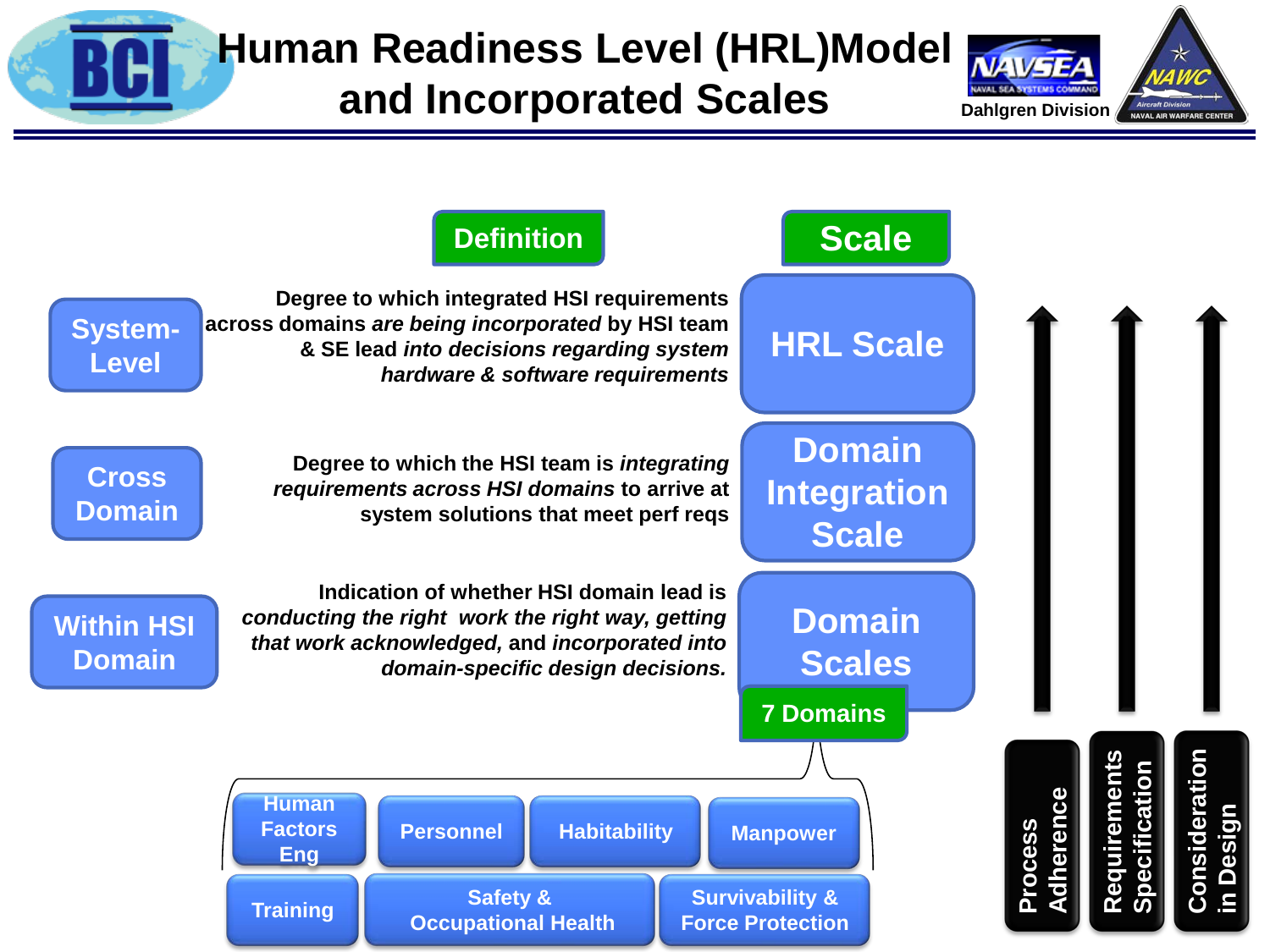

# **Human Readiness Level (HRL)Model**

### **and Incorporated Scales**



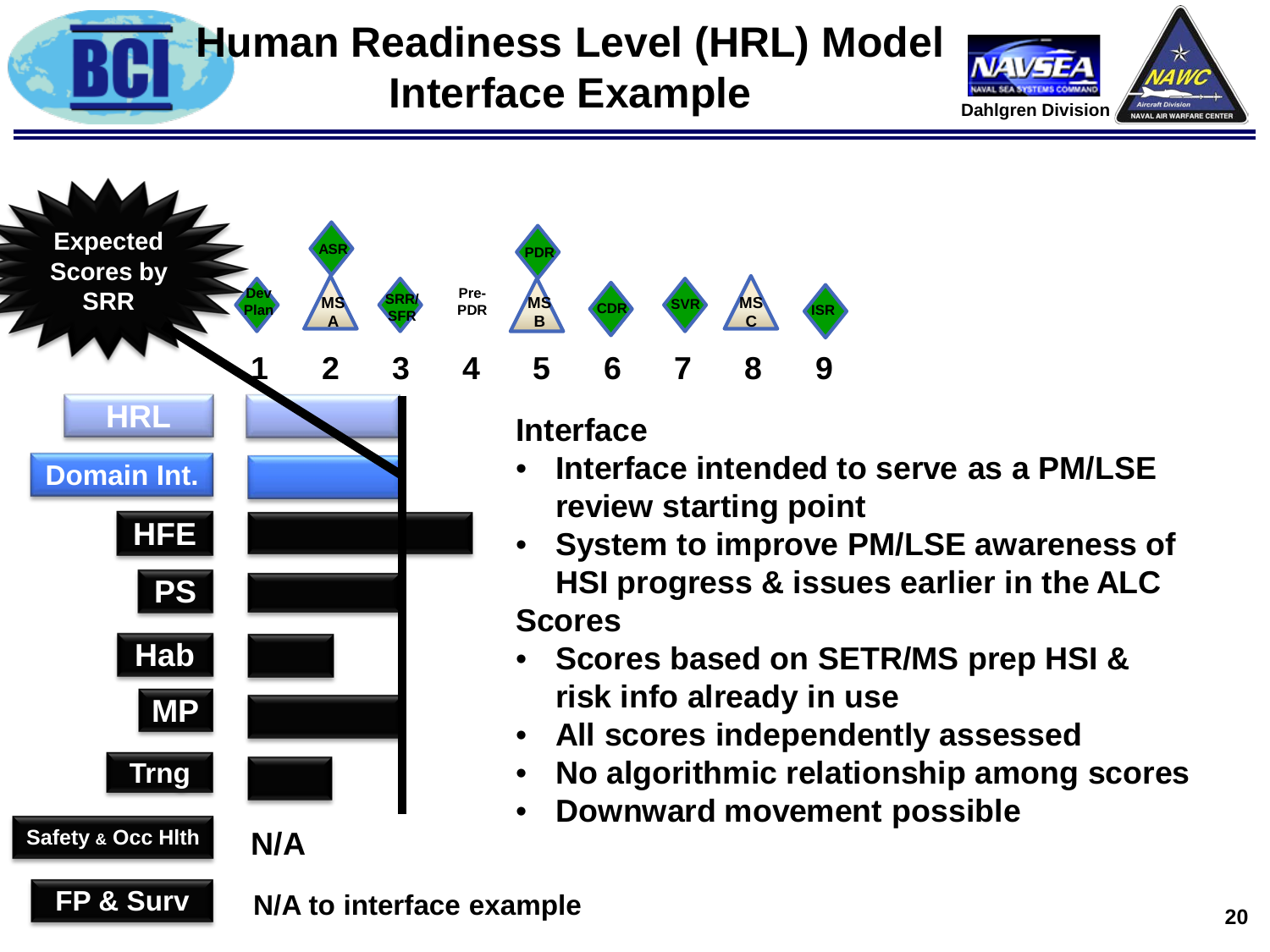

**FP & Surv**

**Safety & Occ Hlth**

**Trng**

**MP**

**N/A**

**Hab**

### **Human Readiness Level (HRL) Model Interface Example**





**Scores**

- **Scores based on SETR/MS prep HSI & risk info already in use**
- **All scores independently assessed**
- **No algorithmic relationship among scores**
- **Downward movement possible**

**N/A to interface example**